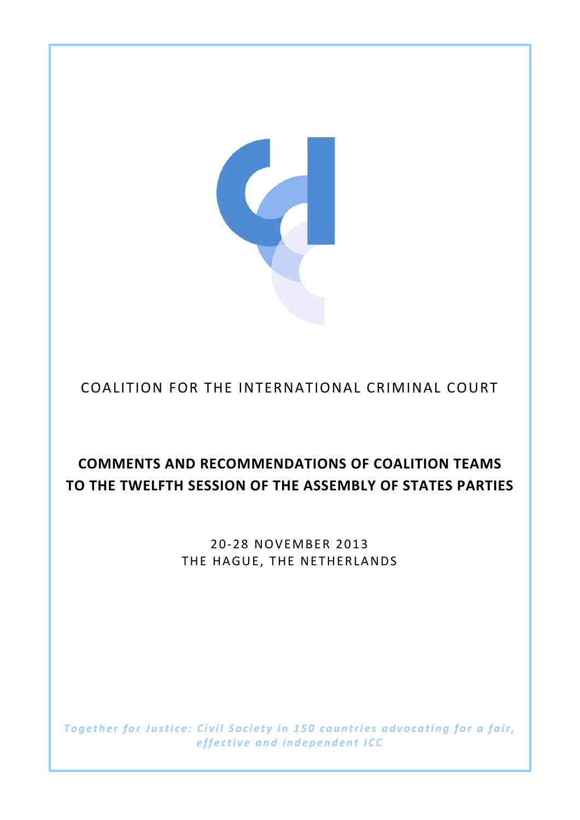

# **COMMENTS AND RECOMMENDATIONS OF COALITION TEAMS TO THE TWELFTH SESSION OF THE ASSEMBLY OF STATES PARTIES**

2 0‐2 8 NOVEMBER 2013 THE HAGUE, THE NETHERLANDS

*Together for Justice: Civil Society i n 150 countries advocating for a fair, effective and independent ICC*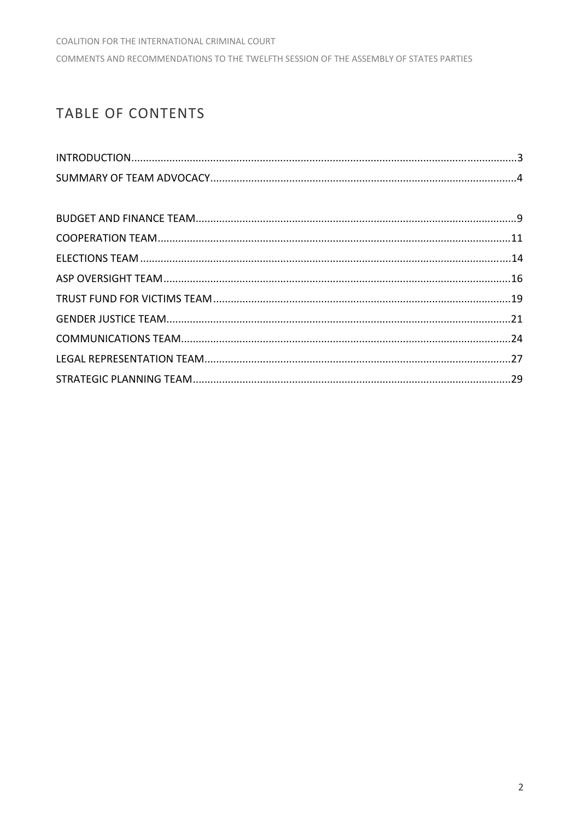# **TABLE OF CONTENTS**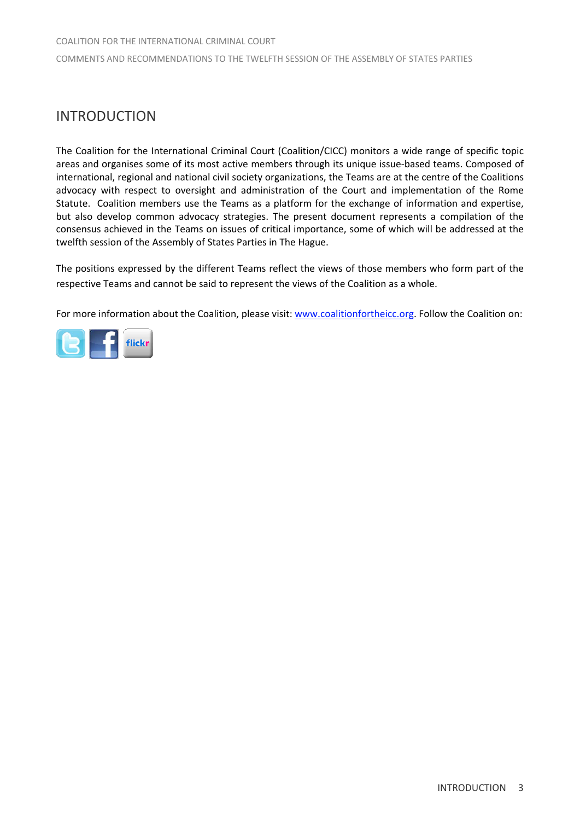# INTRODUCTION

The Coalition for the International Criminal Court (Coalition/CICC) monitors a wide range of specific topic areas and organises some of its most active members through its unique issue‐based teams. Composed of international, regional and national civil society organizations, the Teams are at the centre of the Coalitions advocacy with respect to oversight and administration of the Court and implementation of the Rome Statute. Coalition members use the Teams as a platform for the exchange of information and expertise, but also develop common advocacy strategies. The present document represents a compilation of the consensus achieved in the Teams on issues of critical importance, some of which will be addressed at the twelfth session of the Assembly of States Parties in The Hague.

The positions expressed by the different Teams reflect the views of those members who form part of the respective Teams and cannot be said to represent the views of the Coalition as a whole.

For more information about the Coalition, please visit: www.coalitionfortheicc.org. Follow the Coalition on:

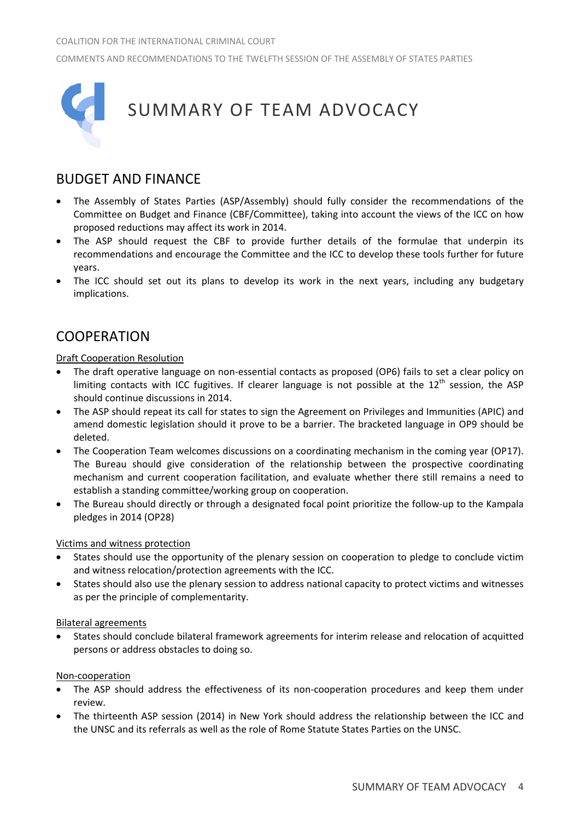

# BUDGET AND FINANCE

- The Assembly of States Parties (ASP/Assembly) should fully consider the recommendations of the Committee on Budget and Finance (CBF/Committee), taking into account the views of the ICC on how proposed reductions may affect its work in 2014.
- The ASP should request the CBF to provide further details of the formulae that underpin its recommendations and encourage the Committee and the ICC to develop these tools further for future years.
- The ICC should set out its plans to develop its work in the next years, including any budgetary implications.

## **COOPERATION**

## Draft Cooperation Resolution

- The draft operative language on non-essential contacts as proposed (OP6) fails to set a clear policy on limiting contacts with ICC fugitives. If clearer language is not possible at the 12<sup>th</sup> session, the ASP should continue discussions in 2014.
- The ASP should repeat its call for states to sign the Agreement on Privileges and Immunities (APIC) and amend domestic legislation should it prove to be a barrier. The bracketed language in OP9 should be deleted.
- The Cooperation Team welcomes discussions on a coordinating mechanism in the coming year (OP17). The Bureau should give consideration of the relationship between the prospective coordinating mechanism and current cooperation facilitation, and evaluate whether there still remains a need to establish a standing committee/working group on cooperation.
- The Bureau should directly or through a designated focal point prioritize the follow‐up to the Kampala pledges in 2014 (OP28)

## Victims and witness protection

- States should use the opportunity of the plenary session on cooperation to pledge to conclude victim and witness relocation/protection agreements with the ICC.
- States should also use the plenary session to address national capacity to protect victims and witnesses as per the principle of complementarity.

## Bilateral agreements

• States should conclude bilateral framework agreements for interim release and relocation of acquitted persons or address obstacles to doing so.

## Non‐cooperation

- The ASP should address the effectiveness of its non-cooperation procedures and keep them under review.
- The thirteenth ASP session (2014) in New York should address the relationship between the ICC and the UNSC and its referrals as well as the role of Rome Statute States Parties on the UNSC.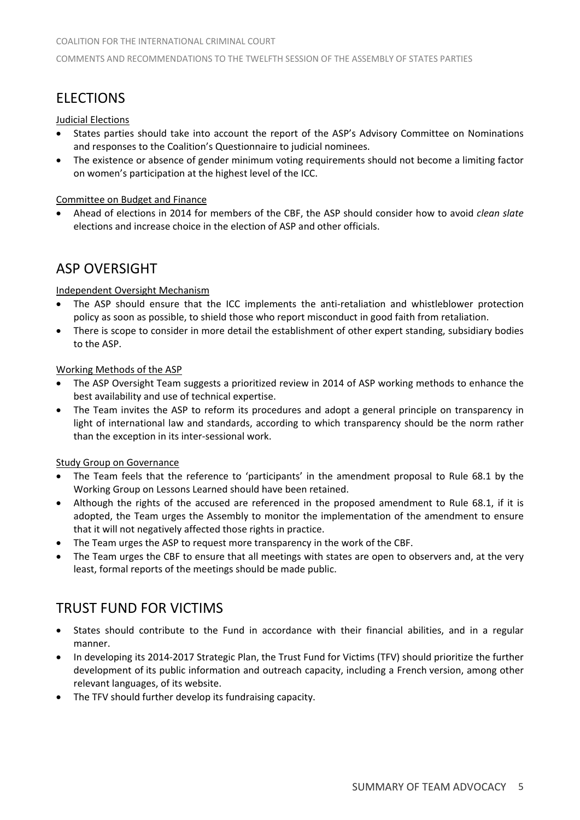# **FLECTIONS**

## Judicial Elections

- States parties should take into account the report of the ASP's Advisory Committee on Nominations and responses to the Coalition's Questionnaire to judicial nominees.
- The existence or absence of gender minimum voting requirements should not become a limiting factor on women's participation at the highest level of the ICC.

## Committee on Budget and Finance

• Ahead of elections in 2014 for members of the CBF, the ASP should consider how to avoid *clean slate* elections and increase choice in the election of ASP and other officials.

# ASP OVERSIGHT

## Independent Oversight Mechanism

- The ASP should ensure that the ICC implements the anti-retaliation and whistleblower protection policy as soon as possible, to shield those who report misconduct in good faith from retaliation.
- There is scope to consider in more detail the establishment of other expert standing, subsidiary bodies to the ASP.

## Working Methods of the ASP

- The ASP Oversight Team suggests a prioritized review in 2014 of ASP working methods to enhance the best availability and use of technical expertise.
- The Team invites the ASP to reform its procedures and adopt a general principle on transparency in light of international law and standards, according to which transparency should be the norm rather than the exception in its inter‐sessional work.

## Study Group on Governance

- The Team feels that the reference to 'participants' in the amendment proposal to Rule 68.1 by the Working Group on Lessons Learned should have been retained.
- Although the rights of the accused are referenced in the proposed amendment to Rule 68.1, if it is adopted, the Team urges the Assembly to monitor the implementation of the amendment to ensure that it will not negatively affected those rights in practice.
- The Team urges the ASP to request more transparency in the work of the CBF.
- The Team urges the CBF to ensure that all meetings with states are open to observers and, at the very least, formal reports of the meetings should be made public.

## TRUST FUND FOR VICTIMS

- States should contribute to the Fund in accordance with their financial abilities, and in a regular manner.
- In developing its 2014-2017 Strategic Plan, the Trust Fund for Victims (TFV) should prioritize the further development of its public information and outreach capacity, including a French version, among other relevant languages, of its website.
- The TFV should further develop its fundraising capacity.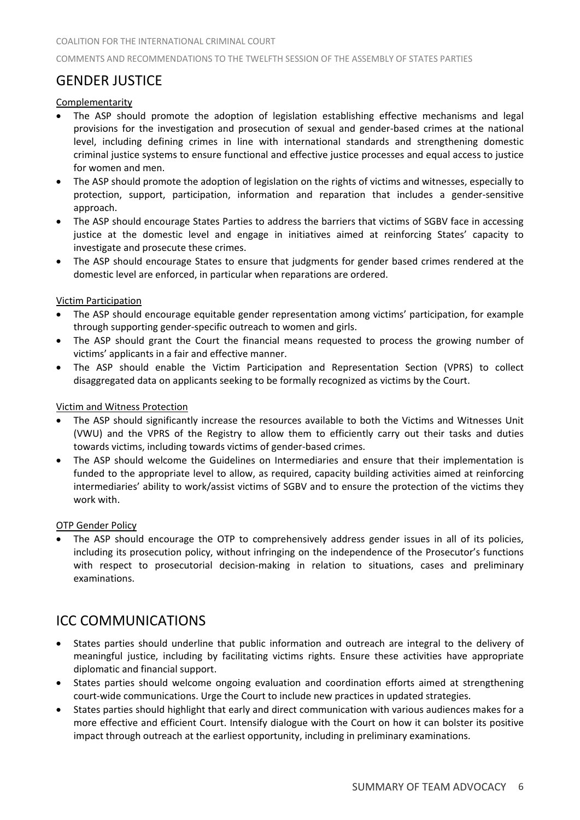# GENDER JUSTICE

## Complementarity

- The ASP should promote the adoption of legislation establishing effective mechanisms and legal provisions for the investigation and prosecution of sexual and gender‐based crimes at the national level, including defining crimes in line with international standards and strengthening domestic criminal justice systems to ensure functional and effective justice processes and equal access to justice for women and men.
- The ASP should promote the adoption of legislation on the rights of victims and witnesses, especially to protection, support, participation, information and reparation that includes a gender‐sensitive approach.
- The ASP should encourage States Parties to address the barriers that victims of SGBV face in accessing justice at the domestic level and engage in initiatives aimed at reinforcing States' capacity to investigate and prosecute these crimes.
- The ASP should encourage States to ensure that judgments for gender based crimes rendered at the domestic level are enforced, in particular when reparations are ordered.

## Victim Participation

- The ASP should encourage equitable gender representation among victims' participation, for example through supporting gender‐specific outreach to women and girls.
- The ASP should grant the Court the financial means requested to process the growing number of victims' applicants in a fair and effective manner.
- The ASP should enable the Victim Participation and Representation Section (VPRS) to collect disaggregated data on applicants seeking to be formally recognized as victims by the Court.

## Victim and Witness Protection

- The ASP should significantly increase the resources available to both the Victims and Witnesses Unit (VWU) and the VPRS of the Registry to allow them to efficiently carry out their tasks and duties towards victims, including towards victims of gender‐based crimes.
- The ASP should welcome the Guidelines on Intermediaries and ensure that their implementation is funded to the appropriate level to allow, as required, capacity building activities aimed at reinforcing intermediaries' ability to work/assist victims of SGBV and to ensure the protection of the victims they work with.

## OTP Gender Policy

• The ASP should encourage the OTP to comprehensively address gender issues in all of its policies, including its prosecution policy, without infringing on the independence of the Prosecutor's functions with respect to prosecutorial decision-making in relation to situations, cases and preliminary examinations.

## ICC COMMUNICATIONS

- States parties should underline that public information and outreach are integral to the delivery of meaningful justice, including by facilitating victims rights. Ensure these activities have appropriate diplomatic and financial support.
- States parties should welcome ongoing evaluation and coordination efforts aimed at strengthening court-wide communications. Urge the Court to include new practices in updated strategies.
- States parties should highlight that early and direct communication with various audiences makes for a more effective and efficient Court. Intensify dialogue with the Court on how it can bolster its positive impact through outreach at the earliest opportunity, including in preliminary examinations.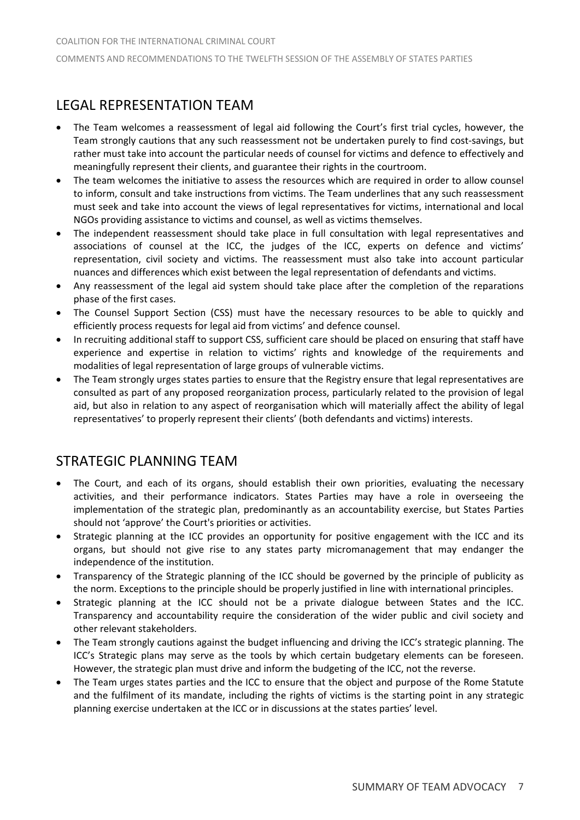# LEGAL REPRESENTATION TEAM

- The Team welcomes a reassessment of legal aid following the Court's first trial cycles, however, the Team strongly cautions that any such reassessment not be undertaken purely to find cost-savings, but rather must take into account the particular needs of counsel for victims and defence to effectively and meaningfully represent their clients, and guarantee their rights in the courtroom.
- The team welcomes the initiative to assess the resources which are required in order to allow counsel to inform, consult and take instructions from victims. The Team underlines that any such reassessment must seek and take into account the views of legal representatives for victims, international and local NGOs providing assistance to victims and counsel, as well as victims themselves.
- The independent reassessment should take place in full consultation with legal representatives and associations of counsel at the ICC, the judges of the ICC, experts on defence and victims' representation, civil society and victims. The reassessment must also take into account particular nuances and differences which exist between the legal representation of defendants and victims.
- Any reassessment of the legal aid system should take place after the completion of the reparations phase of the first cases.
- The Counsel Support Section (CSS) must have the necessary resources to be able to quickly and efficiently process requests for legal aid from victims' and defence counsel.
- In recruiting additional staff to support CSS, sufficient care should be placed on ensuring that staff have experience and expertise in relation to victims' rights and knowledge of the requirements and modalities of legal representation of large groups of vulnerable victims.
- The Team strongly urges states parties to ensure that the Registry ensure that legal representatives are consulted as part of any proposed reorganization process, particularly related to the provision of legal aid, but also in relation to any aspect of reorganisation which will materially affect the ability of legal representatives' to properly represent their clients' (both defendants and victims) interests.

# STRATEGIC PLANNING TEAM

- The Court, and each of its organs, should establish their own priorities, evaluating the necessary activities, and their performance indicators. States Parties may have a role in overseeing the implementation of the strategic plan, predominantly as an accountability exercise, but States Parties should not 'approve' the Court's priorities or activities.
- Strategic planning at the ICC provides an opportunity for positive engagement with the ICC and its organs, but should not give rise to any states party micromanagement that may endanger the independence of the institution.
- Transparency of the Strategic planning of the ICC should be governed by the principle of publicity as the norm. Exceptions to the principle should be properly justified in line with international principles.
- Strategic planning at the ICC should not be a private dialogue between States and the ICC. Transparency and accountability require the consideration of the wider public and civil society and other relevant stakeholders.
- The Team strongly cautions against the budget influencing and driving the ICC's strategic planning. The ICC's Strategic plans may serve as the tools by which certain budgetary elements can be foreseen. However, the strategic plan must drive and inform the budgeting of the ICC, not the reverse.
- The Team urges states parties and the ICC to ensure that the object and purpose of the Rome Statute and the fulfilment of its mandate, including the rights of victims is the starting point in any strategic planning exercise undertaken at the ICC or in discussions at the states parties' level.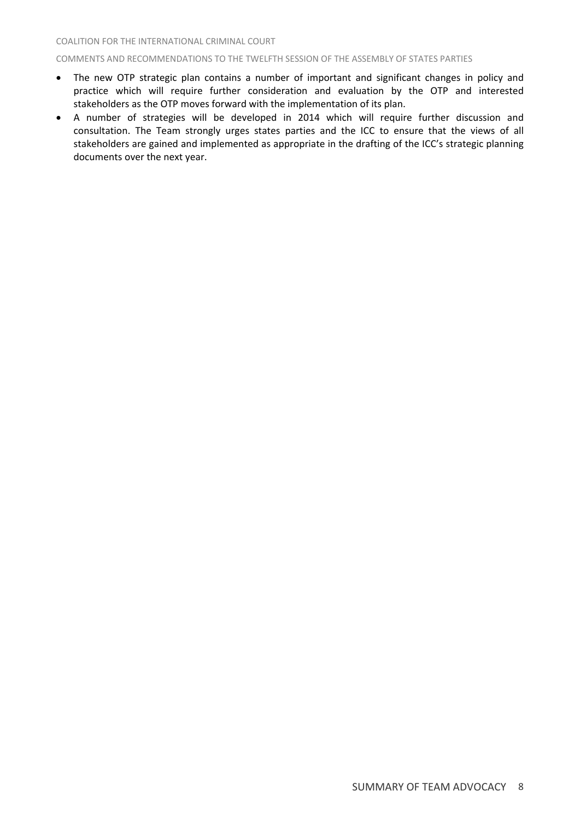#### COMMENTS AND RECOMMENDATIONS TO THE TWELFTH SESSION OF THE ASSEMBLY OF STATES PARTIES

- The new OTP strategic plan contains a number of important and significant changes in policy and practice which will require further consideration and evaluation by the OTP and interested stakeholders as the OTP moves forward with the implementation of its plan.
- A number of strategies will be developed in 2014 which will require further discussion and consultation. The Team strongly urges states parties and the ICC to ensure that the views of all stakeholders are gained and implemented as appropriate in the drafting of the ICC's strategic planning documents over the next year.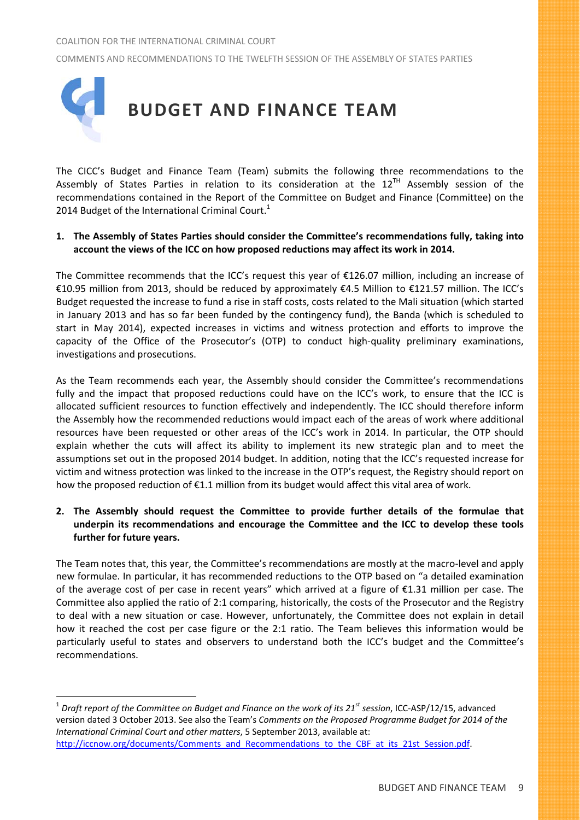

The CICC's Budget and Finance Team (Team) submits the following three recommendations to the Assembly of States Parties in relation to its consideration at the  $12^{TH}$  Assembly session of the recommendations contained in the Report of the Committee on Budget and Finance (Committee) on the 2014 Budget of the International Criminal Court. $1$ 

## **1. The Assembly of States Parties should consider the Committee's recommendations fully, taking into account the views of the ICC on how proposed reductions may affect its work in 2014.**

The Committee recommends that the ICC's request this year of  $\epsilon$ 126.07 million, including an increase of €10.95 million from 2013, should be reduced by approximately €4.5 Million to €121.57 million. The ICC's Budget requested the increase to fund a rise in staff costs, costs related to the Mali situation (which started in January 2013 and has so far been funded by the contingency fund), the Banda (which is scheduled to start in May 2014), expected increases in victims and witness protection and efforts to improve the capacity of the Office of the Prosecutor's (OTP) to conduct high‐quality preliminary examinations, investigations and prosecutions.

As the Team recommends each year, the Assembly should consider the Committee's recommendations fully and the impact that proposed reductions could have on the ICC's work, to ensure that the ICC is allocated sufficient resources to function effectively and independently. The ICC should therefore inform the Assembly how the recommended reductions would impact each of the areas of work where additional resources have been requested or other areas of the ICC's work in 2014. In particular, the OTP should explain whether the cuts will affect its ability to implement its new strategic plan and to meet the assumptions set out in the proposed 2014 budget. In addition, noting that the ICC's requested increase for victim and witness protection was linked to the increase in the OTP's request, the Registry should report on how the proposed reduction of €1.1 million from its budget would affect this vital area of work.

## **2. The Assembly should request the Committee to provide further details of the formulae that underpin its recommendations and encourage the Committee and the ICC to develop these tools further for future years.**

The Team notes that, this year, the Committee's recommendations are mostly at the macro‐level and apply new formulae. In particular, it has recommended reductions to the OTP based on "a detailed examination of the average cost of per case in recent years" which arrived at a figure of €1.31 million per case. The Committee also applied the ratio of 2:1 comparing, historically, the costs of the Prosecutor and the Registry to deal with a new situation or case. However, unfortunately, the Committee does not explain in detail how it reached the cost per case figure or the 2:1 ratio. The Team believes this information would be particularly useful to states and observers to understand both the ICC's budget and the Committee's recommendations.

<sup>&</sup>lt;sup>1</sup> Draft report of the Committee on Budget and Finance on the work of its 21<sup>st</sup> session, ICC-ASP/12/15, advanced version dated 3 October 2013. See also the Team's *Comments on the Proposed Programme Budget for 2014 of the International Criminal Court and other matters*, 5 September 2013, available at: http://iccnow.org/documents/Comments\_and\_Recommendations\_to\_the\_CBF\_at\_its\_21st\_Session.pdf.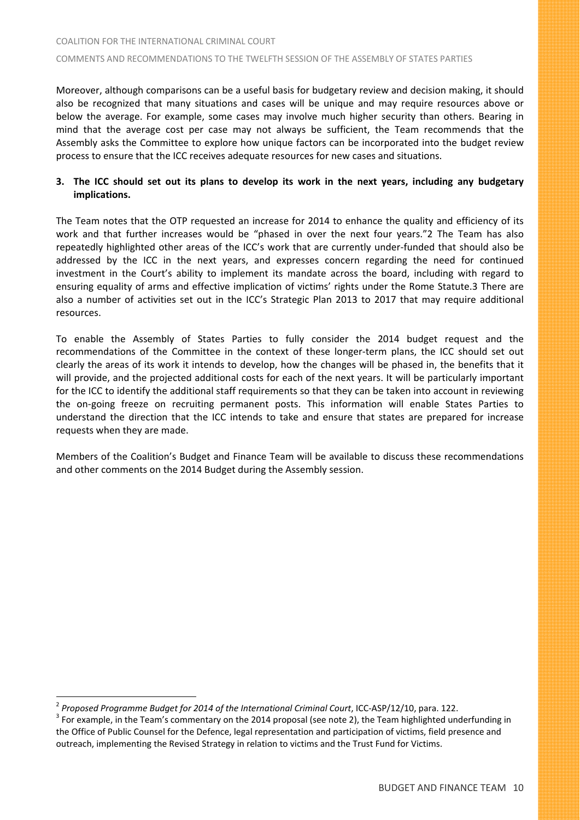## COALITION FOR THE INTERNATIONAL CRIMINAL COURT COMMENTS AND RECOMMENDATIONS TO THE TWELFTH SESSION OF THE ASSEMBLY OF STATES PARTIES

Moreover, although comparisons can be a useful basis for budgetary review and decision making, it should also be recognized that many situations and cases will be unique and may require resources above or below the average. For example, some cases may involve much higher security than others. Bearing in mind that the average cost per case may not always be sufficient, the Team recommends that the Assembly asks the Committee to explore how unique factors can be incorporated into the budget review process to ensure that the ICC receives adequate resources for new cases and situations.

## 3. The ICC should set out its plans to develop its work in the next years, including any budgetary **implications.**

The Team notes that the OTP requested an increase for 2014 to enhance the quality and efficiency of its work and that further increases would be "phased in over the next four years."2 The Team has also repeatedly highlighted other areas of the ICC's work that are currently under‐funded that should also be addressed by the ICC in the next years, and expresses concern regarding the need for continued investment in the Court's ability to implement its mandate across the board, including with regard to ensuring equality of arms and effective implication of victims' rights under the Rome Statute.3 There are also a number of activities set out in the ICC's Strategic Plan 2013 to 2017 that may require additional resources.

To enable the Assembly of States Parties to fully consider the 2014 budget request and the recommendations of the Committee in the context of these longer-term plans, the ICC should set out clearly the areas of its work it intends to develop, how the changes will be phased in, the benefits that it will provide, and the projected additional costs for each of the next years. It will be particularly important for the ICC to identify the additional staff requirements so that they can be taken into account in reviewing the on‐going freeze on recruiting permanent posts. This information will enable States Parties to understand the direction that the ICC intends to take and ensure that states are prepared for increase requests when they are made.

Members of the Coalition's Budget and Finance Team will be available to discuss these recommendations and other comments on the 2014 Budget during the Assembly session.

<sup>&</sup>lt;sup>2</sup> Proposed Programme Budget for 2014 of the International Criminal Court, ICC-ASP/12/10, para. 122.<br><sup>3</sup> For example, in the Team's commentary on the 2014 proposal (see note 2), the Team highlighted underfunding in the Office of Public Counsel for the Defence, legal representation and participation of victims, field presence and outreach, implementing the Revised Strategy in relation to victims and the Trust Fund for Victims.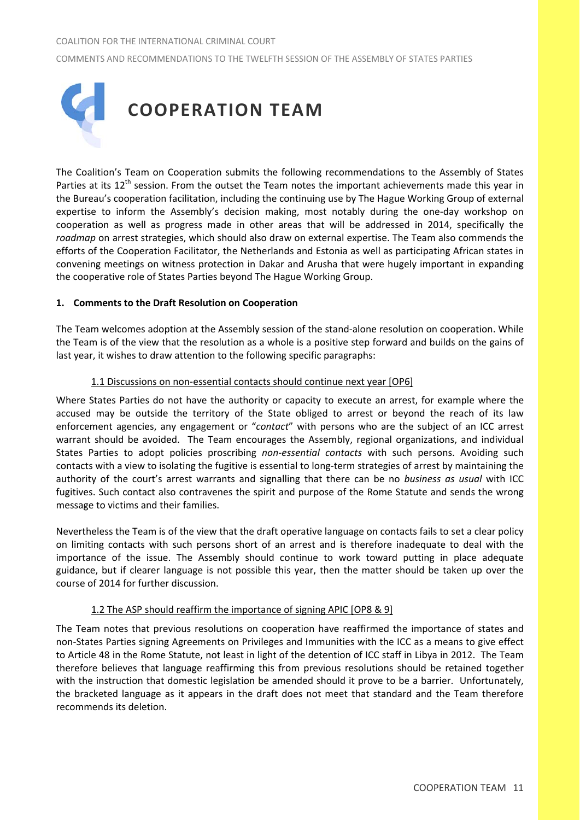

The Coalition's Team on Cooperation submits the following recommendations to the Assembly of States Parties at its 12<sup>th</sup> session. From the outset the Team notes the important achievements made this year in the Bureau's cooperation facilitation, including the continuing use by The Hague Working Group of external expertise to inform the Assembly's decision making, most notably during the one-day workshop on cooperation as well as progress made in other areas that will be addressed in 2014, specifically the *roadmap* on arrest strategies, which should also draw on external expertise. The Team also commends the efforts of the Cooperation Facilitator, the Netherlands and Estonia as well as participating African states in convening meetings on witness protection in Dakar and Arusha that were hugely important in expanding the cooperative role of States Parties beyond The Hague Working Group.

## **1. Comments to the Draft Resolution on Cooperation**

The Team welcomes adoption at the Assembly session of the stand‐alone resolution on cooperation. While the Team is of the view that the resolution as a whole is a positive step forward and builds on the gains of last year, it wishes to draw attention to the following specific paragraphs:

## 1.1 Discussions on non‐essential contacts should continue next year [OP6]

Where States Parties do not have the authority or capacity to execute an arrest, for example where the accused may be outside the territory of the State obliged to arrest or beyond the reach of its law enforcement agencies, any engagement or "*contact*" with persons who are the subject of an ICC arrest warrant should be avoided. The Team encourages the Assembly, regional organizations, and individual States Parties to adopt policies proscribing *non‐essential contacts* with such persons. Avoiding such contacts with a view to isolating the fugitive is essential to long‐term strategies of arrest by maintaining the authority of the court's arrest warrants and signalling that there can be no *business as usual* with ICC fugitives. Such contact also contravenes the spirit and purpose of the Rome Statute and sends the wrong message to victims and their families.

Nevertheless the Team is of the view that the draft operative language on contacts fails to set a clear policy on limiting contacts with such persons short of an arrest and is therefore inadequate to deal with the importance of the issue. The Assembly should continue to work toward putting in place adequate guidance, but if clearer language is not possible this year, then the matter should be taken up over the course of 2014 for further discussion.

## 1.2 The ASP should reaffirm the importance of signing APIC [OP8 & 9]

The Team notes that previous resolutions on cooperation have reaffirmed the importance of states and non‐States Parties signing Agreements on Privileges and Immunities with the ICC as a means to give effect to Article 48 in the Rome Statute, not least in light of the detention of ICC staff in Libya in 2012. The Team therefore believes that language reaffirming this from previous resolutions should be retained together with the instruction that domestic legislation be amended should it prove to be a barrier. Unfortunately, the bracketed language as it appears in the draft does not meet that standard and the Team therefore recommends its deletion.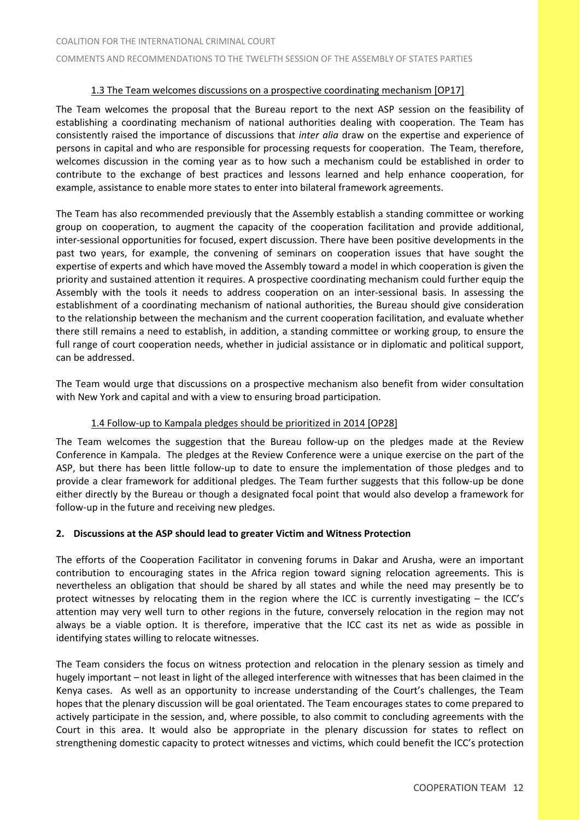## 1.3 The Team welcomes discussions on a prospective coordinating mechanism [OP17]

The Team welcomes the proposal that the Bureau report to the next ASP session on the feasibility of establishing a coordinating mechanism of national authorities dealing with cooperation. The Team has consistently raised the importance of discussions that *inter alia* draw on the expertise and experience of persons in capital and who are responsible for processing requests for cooperation. The Team, therefore, welcomes discussion in the coming year as to how such a mechanism could be established in order to contribute to the exchange of best practices and lessons learned and help enhance cooperation, for example, assistance to enable more states to enter into bilateral framework agreements.

The Team has also recommended previously that the Assembly establish a standing committee or working group on cooperation, to augment the capacity of the cooperation facilitation and provide additional, inter-sessional opportunities for focused, expert discussion. There have been positive developments in the past two years, for example, the convening of seminars on cooperation issues that have sought the expertise of experts and which have moved the Assembly toward a model in which cooperation is given the priority and sustained attention it requires. A prospective coordinating mechanism could further equip the Assembly with the tools it needs to address cooperation on an inter‐sessional basis. In assessing the establishment of a coordinating mechanism of national authorities, the Bureau should give consideration to the relationship between the mechanism and the current cooperation facilitation, and evaluate whether there still remains a need to establish, in addition, a standing committee or working group, to ensure the full range of court cooperation needs, whether in judicial assistance or in diplomatic and political support, can be addressed.

The Team would urge that discussions on a prospective mechanism also benefit from wider consultation with New York and capital and with a view to ensuring broad participation.

## 1.4 Follow‐up to Kampala pledges should be prioritized in 2014 [OP28]

The Team welcomes the suggestion that the Bureau follow-up on the pledges made at the Review Conference in Kampala. The pledges at the Review Conference were a unique exercise on the part of the ASP, but there has been little follow‐up to date to ensure the implementation of those pledges and to provide a clear framework for additional pledges. The Team further suggests that this follow‐up be done either directly by the Bureau or though a designated focal point that would also develop a framework for follow-up in the future and receiving new pledges.

## **2. Discussions at the ASP should lead to greater Victim and Witness Protection**

The efforts of the Cooperation Facilitator in convening forums in Dakar and Arusha, were an important contribution to encouraging states in the Africa region toward signing relocation agreements. This is nevertheless an obligation that should be shared by all states and while the need may presently be to protect witnesses by relocating them in the region where the ICC is currently investigating – the ICC's attention may very well turn to other regions in the future, conversely relocation in the region may not always be a viable option. It is therefore, imperative that the ICC cast its net as wide as possible in identifying states willing to relocate witnesses.

The Team considers the focus on witness protection and relocation in the plenary session as timely and hugely important – not least in light of the alleged interference with witnesses that has been claimed in the Kenya cases. As well as an opportunity to increase understanding of the Court's challenges, the Team hopes that the plenary discussion will be goal orientated. The Team encourages states to come prepared to actively participate in the session, and, where possible, to also commit to concluding agreements with the Court in this area. It would also be appropriate in the plenary discussion for states to reflect on strengthening domestic capacity to protect witnesses and victims, which could benefit the ICC's protection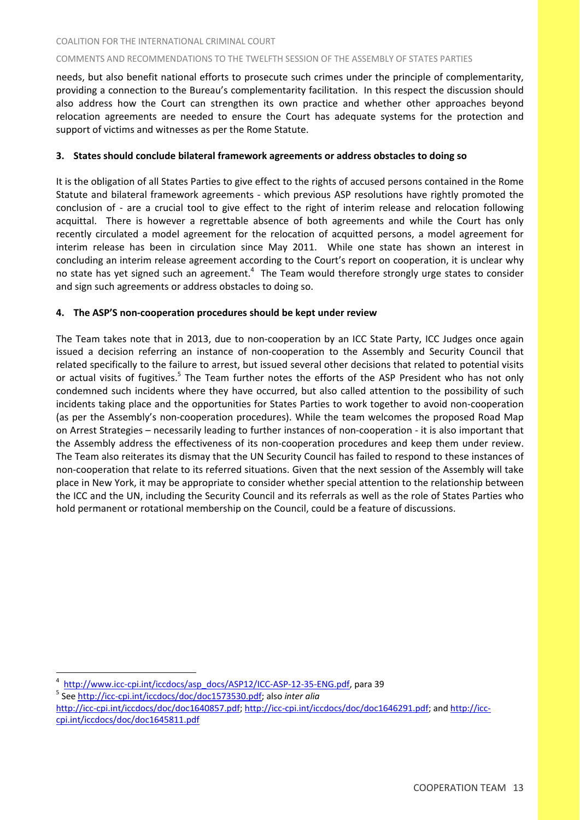needs, but also benefit national efforts to prosecute such crimes under the principle of complementarity, providing a connection to the Bureau's complementarity facilitation. In this respect the discussion should also address how the Court can strengthen its own practice and whether other approaches beyond relocation agreements are needed to ensure the Court has adequate systems for the protection and support of victims and witnesses as per the Rome Statute.

## **3. States should conclude bilateral framework agreements or address obstacles to doing so**

It is the obligation of all States Parties to give effect to the rights of accused persons contained in the Rome Statute and bilateral framework agreements - which previous ASP resolutions have rightly promoted the conclusion of - are a crucial tool to give effect to the right of interim release and relocation following acquittal. There is however a regrettable absence of both agreements and while the Court has only recently circulated a model agreement for the relocation of acquitted persons, a model agreement for interim release has been in circulation since May 2011. While one state has shown an interest in concluding an interim release agreement according to the Court's report on cooperation, it is unclear why no state has yet signed such an agreement.<sup>4</sup> The Team would therefore strongly urge states to consider and sign such agreements or address obstacles to doing so.

## **4. The ASP'S non‐cooperation procedures should be kept under review**

The Team takes note that in 2013, due to non-cooperation by an ICC State Party, ICC Judges once again issued a decision referring an instance of non‐cooperation to the Assembly and Security Council that related specifically to the failure to arrest, but issued several other decisions that related to potential visits or actual visits of fugitives.<sup>5</sup> The Team further notes the efforts of the ASP President who has not only condemned such incidents where they have occurred, but also called attention to the possibility of such incidents taking place and the opportunities for States Parties to work together to avoid non‐cooperation (as per the Assembly's non‐cooperation procedures). While the team welcomes the proposed Road Map on Arrest Strategies – necessarily leading to further instances of non‐cooperation ‐ it is also important that the Assembly address the effectiveness of its non‐cooperation procedures and keep them under review. The Team also reiterates its dismay that the UN Security Council has failed to respond to these instances of non‐cooperation that relate to its referred situations. Given that the next session of the Assembly will take place in New York, it may be appropriate to consider whether special attention to the relationship between the ICC and the UN, including the Security Council and its referrals as well as the role of States Parties who hold permanent or rotational membership on the Council, could be a feature of discussions.

<sup>4</sup> <sup>4</sup> http://www.icc-cpi.int/iccdocs/asp\_docs/ASP12/ICC-ASP-12-35-ENG.pdf, para 39 5 See http://icc-cpi.int/iccdocs/doc/doc1573530.pdf; also *inter alia* 

http://icc-cpi.int/iccdocs/doc/doc1640857.pdf; http://icc-cpi.int/iccdocs/doc/doc1646291.pdf; and http://icccpi.int/iccdocs/doc/doc1645811.pdf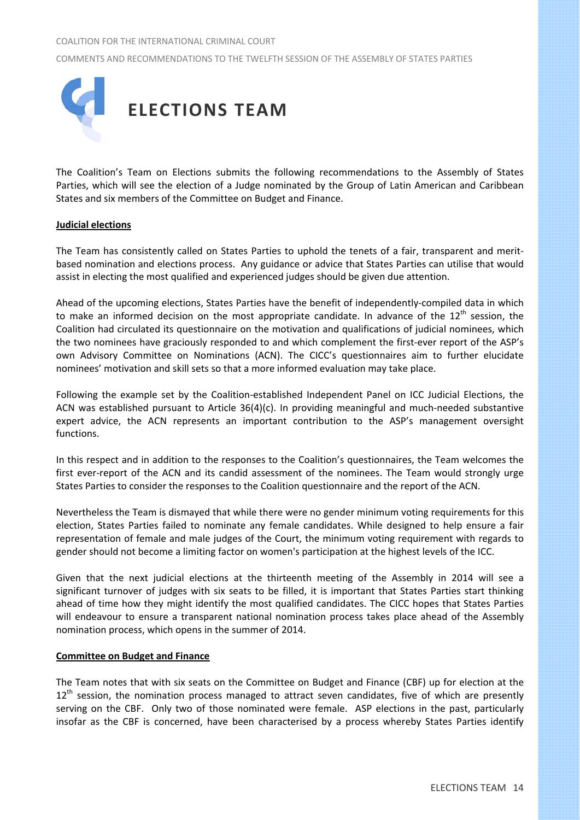COMMENTS AND RECOMMENDATIONS TO THE TWELFTH SESSION OF THE ASSEMBLY OF STATES PARTIES



The Coalition's Team on Elections submits the following recommendations to the Assembly of States Parties, which will see the election of a Judge nominated by the Group of Latin American and Caribbean States and six members of the Committee on Budget and Finance.

## **Judicial elections**

The Team has consistently called on States Parties to uphold the tenets of a fair, transparent and merit‐ based nomination and elections process. Any guidance or advice that States Parties can utilise that would assist in electing the most qualified and experienced judges should be given due attention.

Ahead of the upcoming elections, States Parties have the benefit of independently‐compiled data in which to make an informed decision on the most appropriate candidate. In advance of the  $12<sup>th</sup>$  session, the Coalition had circulated its questionnaire on the motivation and qualifications of judicial nominees, which the two nominees have graciously responded to and which complement the first-ever report of the ASP's own Advisory Committee on Nominations (ACN). The CICC's questionnaires aim to further elucidate nominees' motivation and skill sets so that a more informed evaluation may take place.

Following the example set by the Coalition‐established Independent Panel on ICC Judicial Elections, the ACN was established pursuant to Article 36(4)(c). In providing meaningful and much‐needed substantive expert advice, the ACN represents an important contribution to the ASP's management oversight functions.

In this respect and in addition to the responses to the Coalition's questionnaires, the Team welcomes the first ever-report of the ACN and its candid assessment of the nominees. The Team would strongly urge States Parties to consider the responses to the Coalition questionnaire and the report of the ACN.

Nevertheless the Team is dismayed that while there were no gender minimum voting requirements for this election, States Parties failed to nominate any female candidates. While designed to help ensure a fair representation of female and male judges of the Court, the minimum voting requirement with regards to gender should not become a limiting factor on women's participation at the highest levels of the ICC.

Given that the next judicial elections at the thirteenth meeting of the Assembly in 2014 will see a significant turnover of judges with six seats to be filled, it is important that States Parties start thinking ahead of time how they might identify the most qualified candidates. The CICC hopes that States Parties will endeavour to ensure a transparent national nomination process takes place ahead of the Assembly nomination process, which opens in the summer of 2014.

#### **Committee on Budget and Finance**

The Team notes that with six seats on the Committee on Budget and Finance (CBF) up for election at the  $12<sup>th</sup>$  session, the nomination process managed to attract seven candidates, five of which are presently serving on the CBF. Only two of those nominated were female. ASP elections in the past, particularly insofar as the CBF is concerned, have been characterised by a process whereby States Parties identify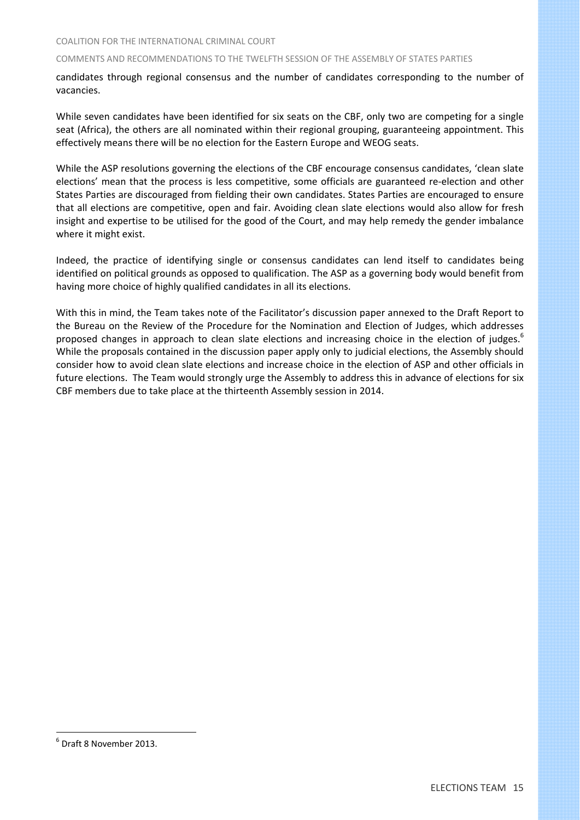candidates through regional consensus and the number of candidates corresponding to the number of vacancies.

While seven candidates have been identified for six seats on the CBF, only two are competing for a single seat (Africa), the others are all nominated within their regional grouping, guaranteeing appointment. This effectively means there will be no election for the Eastern Europe and WEOG seats.

While the ASP resolutions governing the elections of the CBF encourage consensus candidates, 'clean slate elections' mean that the process is less competitive, some officials are guaranteed re‐election and other States Parties are discouraged from fielding their own candidates. States Parties are encouraged to ensure that all elections are competitive, open and fair. Avoiding clean slate elections would also allow for fresh insight and expertise to be utilised for the good of the Court, and may help remedy the gender imbalance where it might exist.

Indeed, the practice of identifying single or consensus candidates can lend itself to candidates being identified on political grounds as opposed to qualification. The ASP as a governing body would benefit from having more choice of highly qualified candidates in all its elections.

With this in mind, the Team takes note of the Facilitator's discussion paper annexed to the Draft Report to the Bureau on the Review of the Procedure for the Nomination and Election of Judges, which addresses proposed changes in approach to clean slate elections and increasing choice in the election of judges.<sup>6</sup> While the proposals contained in the discussion paper apply only to judicial elections, the Assembly should consider how to avoid clean slate elections and increase choice in the election of ASP and other officials in future elections. The Team would strongly urge the Assembly to address this in advance of elections for six CBF members due to take place at the thirteenth Assembly session in 2014.

<sup>6</sup> Draft 8 November 2013.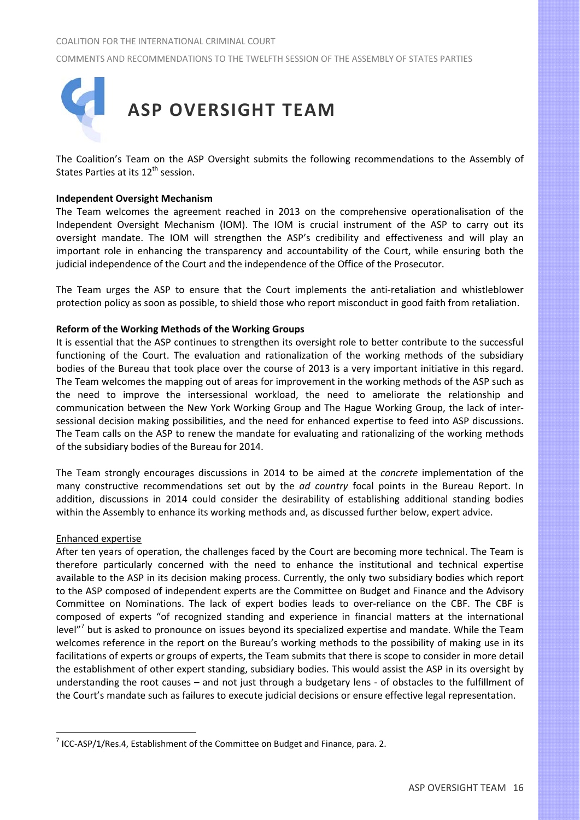

The Coalition's Team on the ASP Oversight submits the following recommendations to the Assembly of States Parties at its 12<sup>th</sup> session.

## **Independent Oversight Mechanism**

The Team welcomes the agreement reached in 2013 on the comprehensive operationalisation of the Independent Oversight Mechanism (IOM). The IOM is crucial instrument of the ASP to carry out its oversight mandate. The IOM will strengthen the ASP's credibility and effectiveness and will play an important role in enhancing the transparency and accountability of the Court, while ensuring both the judicial independence of the Court and the independence of the Office of the Prosecutor.

The Team urges the ASP to ensure that the Court implements the anti-retaliation and whistleblower protection policy as soon as possible, to shield those who report misconduct in good faith from retaliation.

## **Reform of the Working Methods of the Working Groups**

It is essential that the ASP continues to strengthen its oversight role to better contribute to the successful functioning of the Court. The evaluation and rationalization of the working methods of the subsidiary bodies of the Bureau that took place over the course of 2013 is a very important initiative in this regard. The Team welcomes the mapping out of areas for improvement in the working methods of the ASP such as the need to improve the intersessional workload, the need to ameliorate the relationship and communication between the New York Working Group and The Hague Working Group, the lack of inter‐ sessional decision making possibilities, and the need for enhanced expertise to feed into ASP discussions. The Team calls on the ASP to renew the mandate for evaluating and rationalizing of the working methods of the subsidiary bodies of the Bureau for 2014.

The Team strongly encourages discussions in 2014 to be aimed at the *concrete* implementation of the many constructive recommendations set out by the *ad country* focal points in the Bureau Report. In addition, discussions in 2014 could consider the desirability of establishing additional standing bodies within the Assembly to enhance its working methods and, as discussed further below, expert advice.

#### Enhanced expertise

 $\overline{a}$ 

After ten years of operation, the challenges faced by the Court are becoming more technical. The Team is therefore particularly concerned with the need to enhance the institutional and technical expertise available to the ASP in its decision making process. Currently, the only two subsidiary bodies which report to the ASP composed of independent experts are the Committee on Budget and Finance and the Advisory Committee on Nominations. The lack of expert bodies leads to over-reliance on the CBF. The CBF is composed of experts "of recognized standing and experience in financial matters at the international level<sup>"7</sup> but is asked to pronounce on issues beyond its specialized expertise and mandate. While the Team welcomes reference in the report on the Bureau's working methods to the possibility of making use in its facilitations of experts or groups of experts, the Team submits that there is scope to consider in more detail the establishment of other expert standing, subsidiary bodies. This would assist the ASP in its oversight by understanding the root causes – and not just through a budgetary lens ‐ of obstacles to the fulfillment of the Court's mandate such as failures to execute judicial decisions or ensure effective legal representation.

 $7$  ICC-ASP/1/Res.4, Establishment of the Committee on Budget and Finance, para. 2.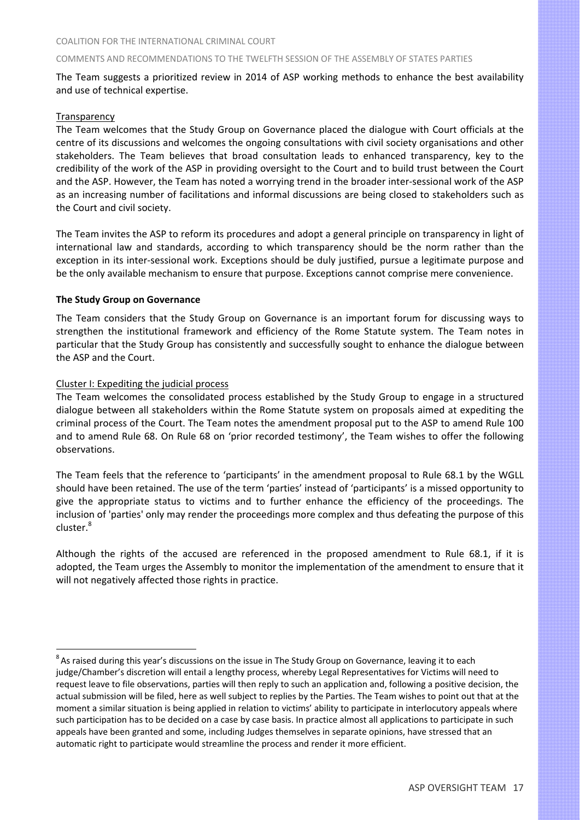The Team suggests a prioritized review in 2014 of ASP working methods to enhance the best availability and use of technical expertise.

## **Transparency**

 $\overline{a}$ 

The Team welcomes that the Study Group on Governance placed the dialogue with Court officials at the centre of its discussions and welcomes the ongoing consultations with civil society organisations and other stakeholders. The Team believes that broad consultation leads to enhanced transparency, key to the credibility of the work of the ASP in providing oversight to the Court and to build trust between the Court and the ASP. However, the Team has noted a worrying trend in the broader inter‐sessional work of the ASP as an increasing number of facilitations and informal discussions are being closed to stakeholders such as the Court and civil society.

The Team invites the ASP to reform its procedures and adopt a general principle on transparency in light of international law and standards, according to which transparency should be the norm rather than the exception in its inter-sessional work. Exceptions should be duly justified, pursue a legitimate purpose and be the only available mechanism to ensure that purpose. Exceptions cannot comprise mere convenience.

## **The Study Group on Governance**

The Team considers that the Study Group on Governance is an important forum for discussing ways to strengthen the institutional framework and efficiency of the Rome Statute system. The Team notes in particular that the Study Group has consistently and successfully sought to enhance the dialogue between the ASP and the Court.

## Cluster I: Expediting the judicial process

The Team welcomes the consolidated process established by the Study Group to engage in a structured dialogue between all stakeholders within the Rome Statute system on proposals aimed at expediting the criminal process of the Court. The Team notes the amendment proposal put to the ASP to amend Rule 100 and to amend Rule 68. On Rule 68 on 'prior recorded testimony', the Team wishes to offer the following observations.

The Team feels that the reference to 'participants' in the amendment proposal to Rule 68.1 by the WGLL should have been retained. The use of the term 'parties' instead of 'participants' is a missed opportunity to give the appropriate status to victims and to further enhance the efficiency of the proceedings. The inclusion of 'parties' only may render the proceedings more complex and thus defeating the purpose of this cluster.<sup>8</sup>

Although the rights of the accused are referenced in the proposed amendment to Rule 68.1, if it is adopted, the Team urges the Assembly to monitor the implementation of the amendment to ensure that it will not negatively affected those rights in practice.

 ${}^{8}$ As raised during this year's discussions on the issue in The Study Group on Governance, leaving it to each judge/Chamber's discretion will entail a lengthy process, whereby Legal Representatives for Victims will need to request leave to file observations, parties will then reply to such an application and, following a positive decision, the actual submission will be filed, here as well subject to replies by the Parties. The Team wishes to point out that at the moment a similar situation is being applied in relation to victims' ability to participate in interlocutory appeals where such participation has to be decided on a case by case basis. In practice almost all applications to participate in such appeals have been granted and some, including Judges themselves in separate opinions, have stressed that an automatic right to participate would streamline the process and render it more efficient.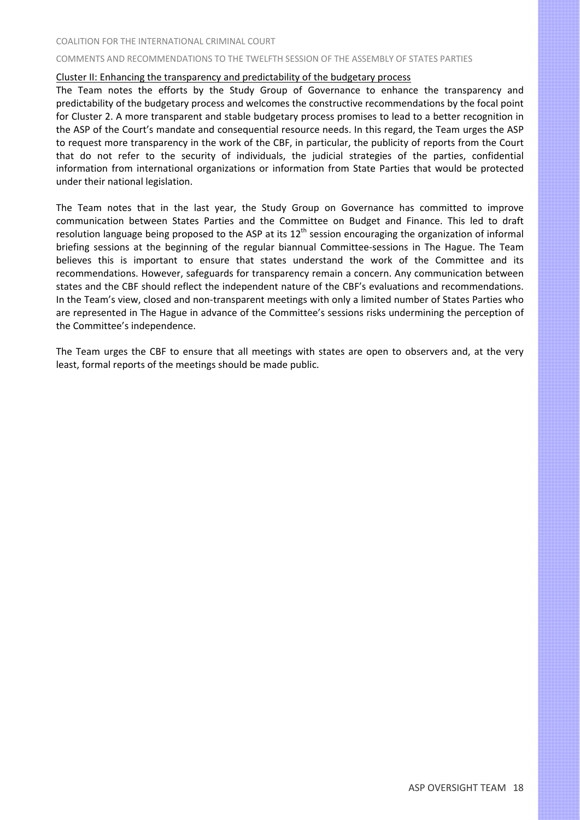#### COMMENTS AND RECOMMENDATIONS TO THE TWELFTH SESSION OF THE ASSEMBLY OF STATES PARTIES

#### Cluster II: Enhancing the transparency and predictability of the budgetary process

The Team notes the efforts by the Study Group of Governance to enhance the transparency and predictability of the budgetary process and welcomes the constructive recommendations by the focal point for Cluster 2. A more transparent and stable budgetary process promises to lead to a better recognition in the ASP of the Court's mandate and consequential resource needs. In this regard, the Team urges the ASP to request more transparency in the work of the CBF, in particular, the publicity of reports from the Court that do not refer to the security of individuals, the judicial strategies of the parties, confidential information from international organizations or information from State Parties that would be protected under their national legislation.

The Team notes that in the last year, the Study Group on Governance has committed to improve communication between States Parties and the Committee on Budget and Finance. This led to draft resolution language being proposed to the ASP at its  $12<sup>th</sup>$  session encouraging the organization of informal briefing sessions at the beginning of the regular biannual Committee‐sessions in The Hague. The Team believes this is important to ensure that states understand the work of the Committee and its recommendations. However, safeguards for transparency remain a concern. Any communication between states and the CBF should reflect the independent nature of the CBF's evaluations and recommendations. In the Team's view, closed and non‐transparent meetings with only a limited number of States Parties who are represented in The Hague in advance of the Committee's sessions risks undermining the perception of the Committee's independence.

The Team urges the CBF to ensure that all meetings with states are open to observers and, at the very least, formal reports of the meetings should be made public.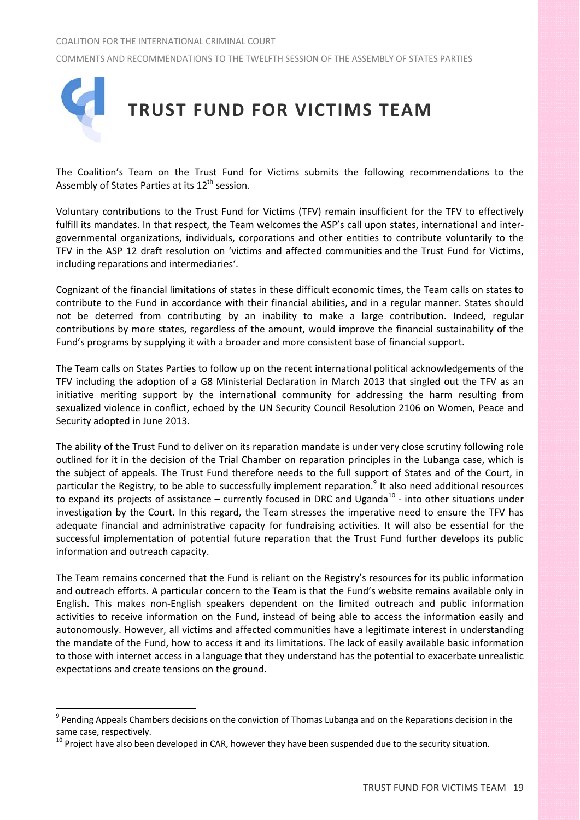

The Coalition's Team on the Trust Fund for Victims submits the following recommendations to the Assembly of States Parties at its  $12^{th}$  session.

Voluntary contributions to the Trust Fund for Victims (TFV) remain insufficient for the TFV to effectively fulfill its mandates. In that respect, the Team welcomes the ASP's call upon states, international and intergovernmental organizations, individuals, corporations and other entities to contribute voluntarily to the TFV in the ASP 12 draft resolution on 'victims and affected communities and the Trust Fund for Victims, including reparations and intermediaries'.

Cognizant of the financial limitations of states in these difficult economic times, the Team calls on states to contribute to the Fund in accordance with their financial abilities, and in a regular manner. States should not be deterred from contributing by an inability to make a large contribution. Indeed, regular contributions by more states, regardless of the amount, would improve the financial sustainability of the Fund's programs by supplying it with a broader and more consistent base of financial support.

The Team calls on States Parties to follow up on the recent international political acknowledgements of the TFV including the adoption of a G8 Ministerial Declaration in March 2013 that singled out the TFV as an initiative meriting support by the international community for addressing the harm resulting from sexualized violence in conflict, echoed by the UN Security Council Resolution 2106 on Women, Peace and Security adopted in June 2013.

The ability of the Trust Fund to deliver on its reparation mandate is under very close scrutiny following role outlined for it in the decision of the Trial Chamber on reparation principles in the Lubanga case, which is the subject of appeals. The Trust Fund therefore needs to the full support of States and of the Court, in particular the Registry, to be able to successfully implement reparation.<sup>9</sup> It also need additional resources to expand its projects of assistance – currently focused in DRC and Uganda<sup>10</sup> - into other situations under investigation by the Court. In this regard, the Team stresses the imperative need to ensure the TFV has adequate financial and administrative capacity for fundraising activities. It will also be essential for the successful implementation of potential future reparation that the Trust Fund further develops its public information and outreach capacity.

The Team remains concerned that the Fund is reliant on the Registry's resources for its public information and outreach efforts. A particular concern to the Team is that the Fund's website remains available only in English. This makes non‐English speakers dependent on the limited outreach and public information activities to receive information on the Fund, instead of being able to access the information easily and autonomously. However, all victims and affected communities have a legitimate interest in understanding the mandate of the Fund, how to access it and its limitations. The lack of easily available basic information to those with internet access in a language that they understand has the potential to exacerbate unrealistic expectations and create tensions on the ground.

<sup>&</sup>lt;sup>9</sup> Pending Appeals Chambers decisions on the conviction of Thomas Lubanga and on the Reparations decision in the

same case, respectively.<br><sup>10</sup> Proiect have also been developed in CAR, however they have been suspended due to the security situation.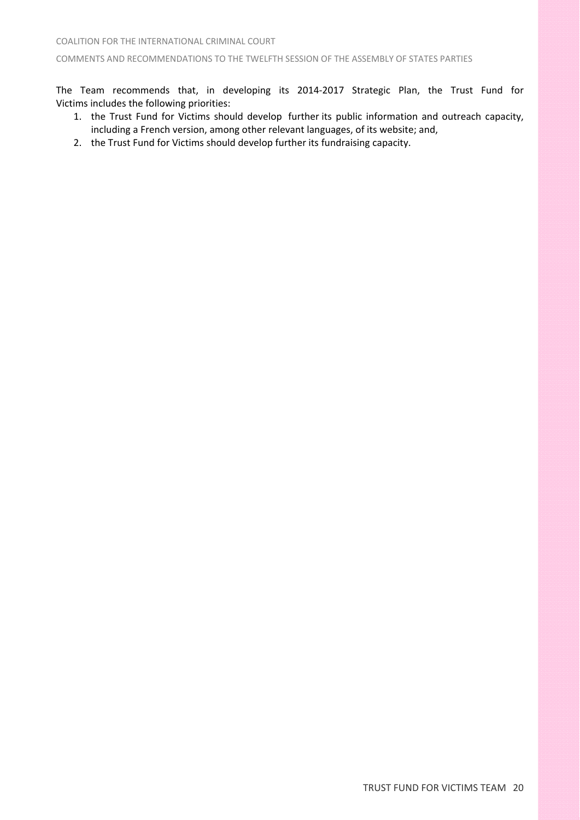The Team recommends that, in developing its 2014‐2017 Strategic Plan, the Trust Fund for Victims includes the following priorities:

- 1. the Trust Fund for Victims should develop further its public information and outreach capacity, including a French version, among other relevant languages, of its website; and,
- 2. the Trust Fund for Victims should develop further its fundraising capacity.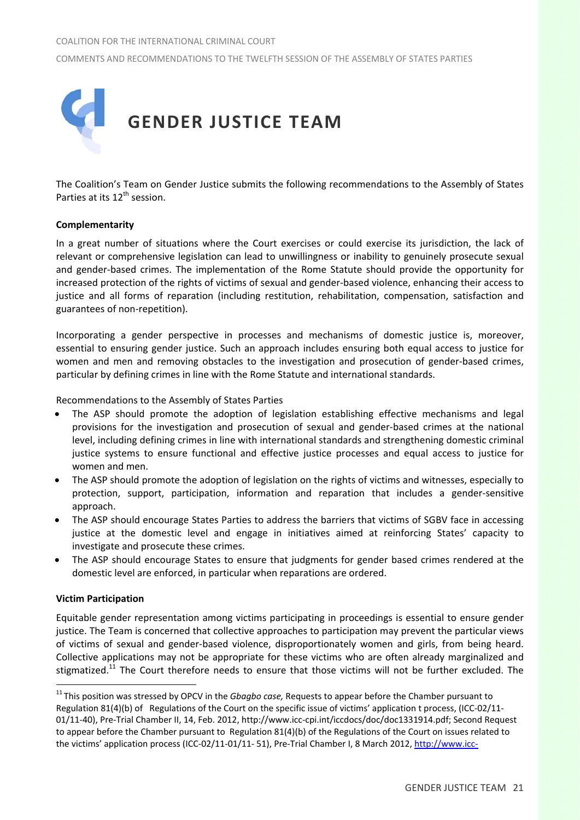

The Coalition's Team on Gender Justice submits the following recommendations to the Assembly of States Parties at its 12<sup>th</sup> session.

## **Complementarity**

In a great number of situations where the Court exercises or could exercise its jurisdiction, the lack of relevant or comprehensive legislation can lead to unwillingness or inability to genuinely prosecute sexual and gender‐based crimes. The implementation of the Rome Statute should provide the opportunity for increased protection of the rights of victims of sexual and gender‐based violence, enhancing their access to justice and all forms of reparation (including restitution, rehabilitation, compensation, satisfaction and guarantees of non‐repetition).

Incorporating a gender perspective in processes and mechanisms of domestic justice is, moreover, essential to ensuring gender justice. Such an approach includes ensuring both equal access to justice for women and men and removing obstacles to the investigation and prosecution of gender-based crimes, particular by defining crimes in line with the Rome Statute and international standards.

Recommendations to the Assembly of States Parties

- The ASP should promote the adoption of legislation establishing effective mechanisms and legal provisions for the investigation and prosecution of sexual and gender‐based crimes at the national level, including defining crimes in line with international standards and strengthening domestic criminal justice systems to ensure functional and effective justice processes and equal access to justice for women and men.
- The ASP should promote the adoption of legislation on the rights of victims and witnesses, especially to protection, support, participation, information and reparation that includes a gender‐sensitive approach.
- The ASP should encourage States Parties to address the barriers that victims of SGBV face in accessing justice at the domestic level and engage in initiatives aimed at reinforcing States' capacity to investigate and prosecute these crimes.
- The ASP should encourage States to ensure that judgments for gender based crimes rendered at the domestic level are enforced, in particular when reparations are ordered.

#### **Victim Participation**

 $\overline{a}$ 

Equitable gender representation among victims participating in proceedings is essential to ensure gender justice. The Team is concerned that collective approaches to participation may prevent the particular views of victims of sexual and gender‐based violence, disproportionately women and girls, from being heard. Collective applications may not be appropriate for these victims who are often already marginalized and stigmatized.<sup>11</sup> The Court therefore needs to ensure that those victims will not be further excluded. The

<sup>11</sup> This position was stressed by OPCV in the *Gbagbo case,* Requests to appear before the Chamber pursuant to Regulation 81(4)(b) of Regulations of the Court on the specific issue of victims' application t process, (ICC-02/11-01/11‐40), Pre‐Trial Chamber II, 14, Feb. 2012, http://www.icc‐cpi.int/iccdocs/doc/doc1331914.pdf; Second Request to appear before the Chamber pursuant to Regulation 81(4)(b) of the Regulations of the Court on issues related to the victims' application process (ICC-02/11-01/11- 51), Pre-Trial Chamber I, 8 March 2012, http://www.icc-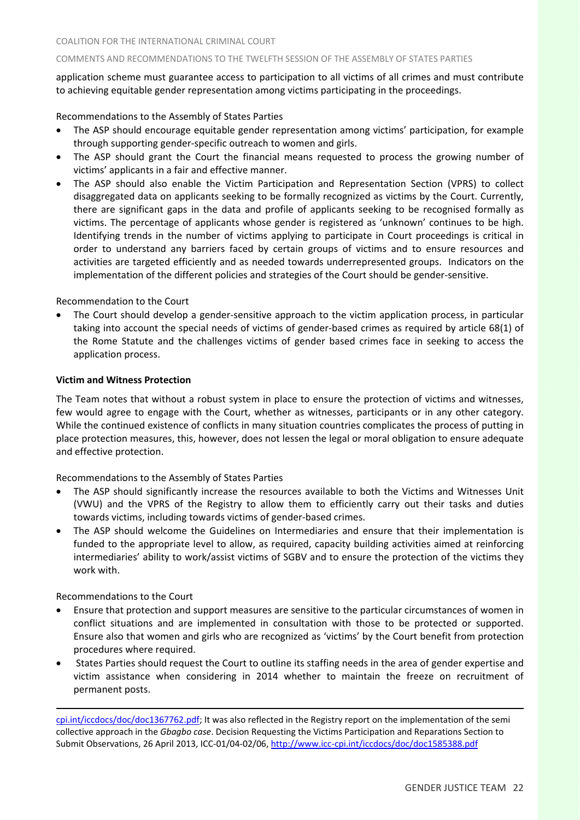application scheme must guarantee access to participation to all victims of all crimes and must contribute to achieving equitable gender representation among victims participating in the proceedings.

Recommendations to the Assembly of States Parties

- The ASP should encourage equitable gender representation among victims' participation, for example through supporting gender‐specific outreach to women and girls.
- The ASP should grant the Court the financial means requested to process the growing number of victims' applicants in a fair and effective manner.
- The ASP should also enable the Victim Participation and Representation Section (VPRS) to collect disaggregated data on applicants seeking to be formally recognized as victims by the Court. Currently, there are significant gaps in the data and profile of applicants seeking to be recognised formally as victims. The percentage of applicants whose gender is registered as 'unknown' continues to be high. Identifying trends in the number of victims applying to participate in Court proceedings is critical in order to understand any barriers faced by certain groups of victims and to ensure resources and activities are targeted efficiently and as needed towards underrepresented groups. Indicators on the implementation of the different policies and strategies of the Court should be gender‐sensitive.

Recommendation to the Court

The Court should develop a gender-sensitive approach to the victim application process, in particular taking into account the special needs of victims of gender‐based crimes as required by article 68(1) of the Rome Statute and the challenges victims of gender based crimes face in seeking to access the application process.

## **Victim and Witness Protection**

The Team notes that without a robust system in place to ensure the protection of victims and witnesses, few would agree to engage with the Court, whether as witnesses, participants or in any other category. While the continued existence of conflicts in many situation countries complicates the process of putting in place protection measures, this, however, does not lessen the legal or moral obligation to ensure adequate and effective protection.

Recommendations to the Assembly of States Parties

- The ASP should significantly increase the resources available to both the Victims and Witnesses Unit (VWU) and the VPRS of the Registry to allow them to efficiently carry out their tasks and duties towards victims, including towards victims of gender‐based crimes.
- The ASP should welcome the Guidelines on Intermediaries and ensure that their implementation is funded to the appropriate level to allow, as required, capacity building activities aimed at reinforcing intermediaries' ability to work/assist victims of SGBV and to ensure the protection of the victims they work with.

Recommendations to the Court

 $\overline{a}$ 

- Ensure that protection and support measures are sensitive to the particular circumstances of women in conflict situations and are implemented in consultation with those to be protected or supported. Ensure also that women and girls who are recognized as 'victims' by the Court benefit from protection procedures where required.
- States Parties should request the Court to outline its staffing needs in the area of gender expertise and victim assistance when considering in 2014 whether to maintain the freeze on recruitment of permanent posts.

cpi.int/iccdocs/doc/doc1367762.pdf; It was also reflected in the Registry report on the implementation of the semi collective approach in the *Gbagbo case*. Decision Requesting the Victims Participation and Reparations Section to Submit Observations, 26 April 2013, ICC‐01/04‐02/06, http://www.icc‐cpi.int/iccdocs/doc/doc1585388.pdf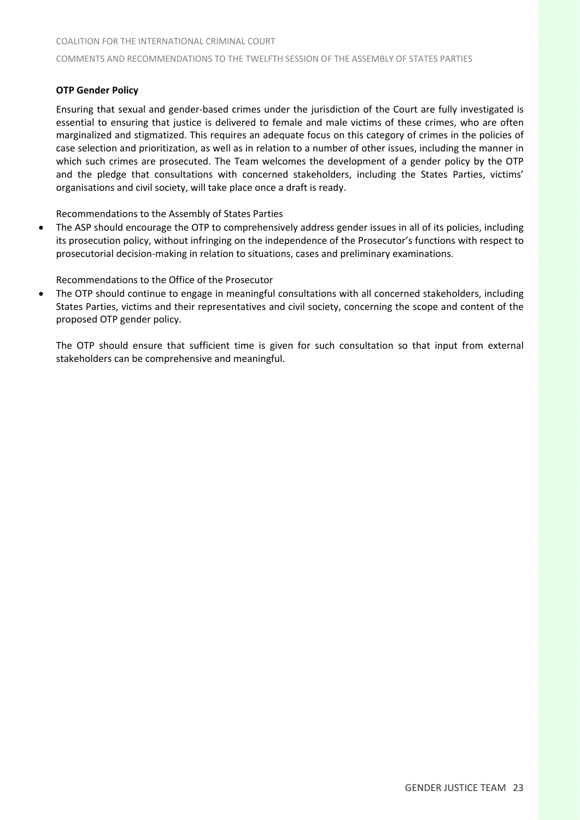## **OTP Gender Policy**

Ensuring that sexual and gender‐based crimes under the jurisdiction of the Court are fully investigated is essential to ensuring that justice is delivered to female and male victims of these crimes, who are often marginalized and stigmatized. This requires an adequate focus on this category of crimes in the policies of case selection and prioritization, as well as in relation to a number of other issues, including the manner in which such crimes are prosecuted. The Team welcomes the development of a gender policy by the OTP and the pledge that consultations with concerned stakeholders, including the States Parties, victims' organisations and civil society, will take place once a draft is ready.

Recommendations to the Assembly of States Parties

• The ASP should encourage the OTP to comprehensively address gender issues in all of its policies, including its prosecution policy, without infringing on the independence of the Prosecutor's functions with respect to prosecutorial decision‐making in relation to situations, cases and preliminary examinations.

Recommendations to the Office of the Prosecutor

• The OTP should continue to engage in meaningful consultations with all concerned stakeholders, including States Parties, victims and their representatives and civil society, concerning the scope and content of the proposed OTP gender policy.

The OTP should ensure that sufficient time is given for such consultation so that input from external stakeholders can be comprehensive and meaningful.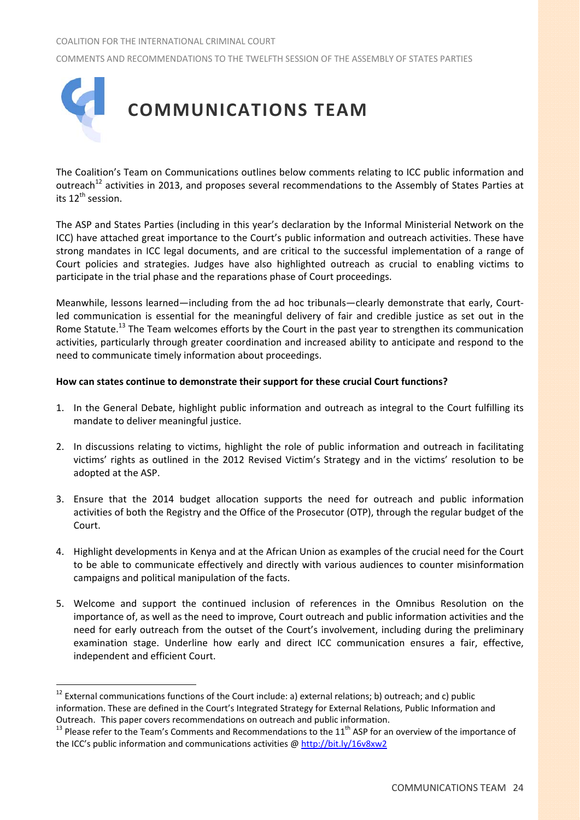COMMENTS AND RECOMMENDATIONS TO THE TWELFTH SESSION OF THE ASSEMBLY OF STATES PARTIES



The Coalition's Team on Communications outlines below comments relating to ICC public information and outreach<sup>12</sup> activities in 2013, and proposes several recommendations to the Assembly of States Parties at its 12<sup>th</sup> session.

The ASP and States Parties (including in this year's declaration by the Informal Ministerial Network on the ICC) have attached great importance to the Court's public information and outreach activities. These have strong mandates in ICC legal documents, and are critical to the successful implementation of a range of Court policies and strategies. Judges have also highlighted outreach as crucial to enabling victims to participate in the trial phase and the reparations phase of Court proceedings.

Meanwhile, lessons learned—including from the ad hoc tribunals—clearly demonstrate that early, Courtled communication is essential for the meaningful delivery of fair and credible justice as set out in the Rome Statute.<sup>13</sup> The Team welcomes efforts by the Court in the past year to strengthen its communication activities, particularly through greater coordination and increased ability to anticipate and respond to the need to communicate timely information about proceedings.

## **How can states continue to demonstrate their support for these crucial Court functions?**

- 1. In the General Debate, highlight public information and outreach as integral to the Court fulfilling its mandate to deliver meaningful justice.
- 2. In discussions relating to victims, highlight the role of public information and outreach in facilitating victims' rights as outlined in the 2012 Revised Victim's Strategy and in the victims' resolution to be adopted at the ASP.
- 3. Ensure that the 2014 budget allocation supports the need for outreach and public information activities of both the Registry and the Office of the Prosecutor (OTP), through the regular budget of the Court.
- 4. Highlight developments in Kenya and at the African Union as examples of the crucial need for the Court to be able to communicate effectively and directly with various audiences to counter misinformation campaigns and political manipulation of the facts.
- 5. Welcome and support the continued inclusion of references in the Omnibus Resolution on the importance of, as well as the need to improve, Court outreach and public information activities and the need for early outreach from the outset of the Court's involvement, including during the preliminary examination stage. Underline how early and direct ICC communication ensures a fair, effective, independent and efficient Court.

 $12$  External communications functions of the Court include: a) external relations; b) outreach; and c) public information. These are defined in the Court's Integrated Strategy for External Relations, Public Information and Outreach. This paper covers recommendations on outreach and public information.<br>
<sup>13</sup> Please refer to the Team's Comments and Recommendations to the 11<sup>th</sup> ASP for an overview of the importance of

the ICC's public information and communications activities @ http://bit.ly/16v8xw2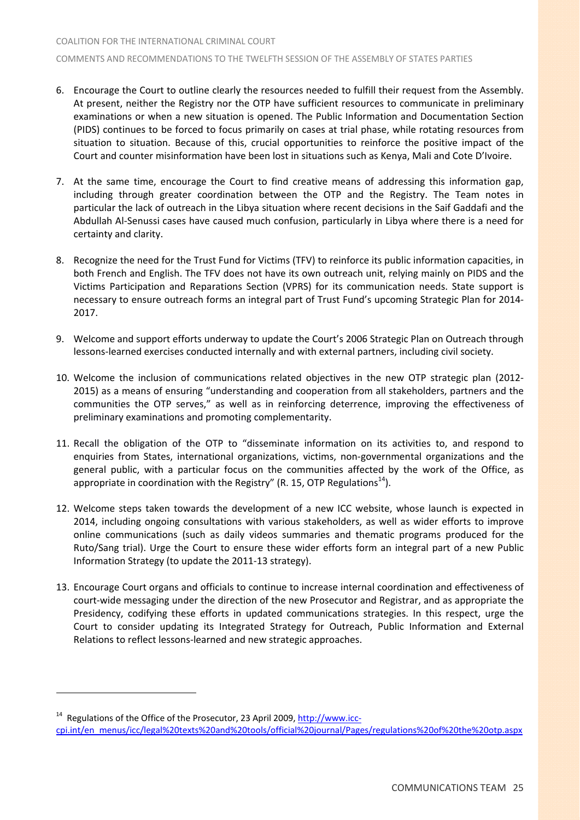- 6. Encourage the Court to outline clearly the resources needed to fulfill their request from the Assembly. At present, neither the Registry nor the OTP have sufficient resources to communicate in preliminary examinations or when a new situation is opened. The Public Information and Documentation Section (PIDS) continues to be forced to focus primarily on cases at trial phase, while rotating resources from situation to situation. Because of this, crucial opportunities to reinforce the positive impact of the Court and counter misinformation have been lost in situations such as Kenya, Mali and Cote D'Ivoire.
- 7. At the same time, encourage the Court to find creative means of addressing this information gap, including through greater coordination between the OTP and the Registry. The Team notes in particular the lack of outreach in the Libya situation where recent decisions in the Saif Gaddafi and the Abdullah Al‐Senussi cases have caused much confusion, particularly in Libya where there is a need for certainty and clarity.
- 8. Recognize the need for the Trust Fund for Victims (TFV) to reinforce its public information capacities, in both French and English. The TFV does not have its own outreach unit, relying mainly on PIDS and the Victims Participation and Reparations Section (VPRS) for its communication needs. State support is necessary to ensure outreach forms an integral part of Trust Fund's upcoming Strategic Plan for 2014‐ 2017.
- 9. Welcome and support efforts underway to update the Court's 2006 Strategic Plan on Outreach through lessons‐learned exercises conducted internally and with external partners, including civil society.
- 10. Welcome the inclusion of communications related objectives in the new OTP strategic plan (2012‐ 2015) as a means of ensuring "understanding and cooperation from all stakeholders, partners and the communities the OTP serves," as well as in reinforcing deterrence, improving the effectiveness of preliminary examinations and promoting complementarity.
- 11. Recall the obligation of the OTP to "disseminate information on its activities to, and respond to enquiries from States, international organizations, victims, non‐governmental organizations and the general public, with a particular focus on the communities affected by the work of the Office, as appropriate in coordination with the Registry" (R. 15, OTP Regulations<sup>14</sup>).
- 12. Welcome steps taken towards the development of a new ICC website, whose launch is expected in 2014, including ongoing consultations with various stakeholders, as well as wider efforts to improve online communications (such as daily videos summaries and thematic programs produced for the Ruto/Sang trial). Urge the Court to ensure these wider efforts form an integral part of a new Public Information Strategy (to update the 2011‐13 strategy).
- 13. Encourage Court organs and officials to continue to increase internal coordination and effectiveness of court‐wide messaging under the direction of the new Prosecutor and Registrar, and as appropriate the Presidency, codifying these efforts in updated communications strategies. In this respect, urge the Court to consider updating its Integrated Strategy for Outreach, Public Information and External Relations to reflect lessons‐learned and new strategic approaches.

 $14$  Regulations of the Office of the Prosecutor, 23 April 2009, http://www.icccpi.int/en\_menus/icc/legal%20texts%20and%20tools/official%20journal/Pages/regulations%20of%20the%20otp.aspx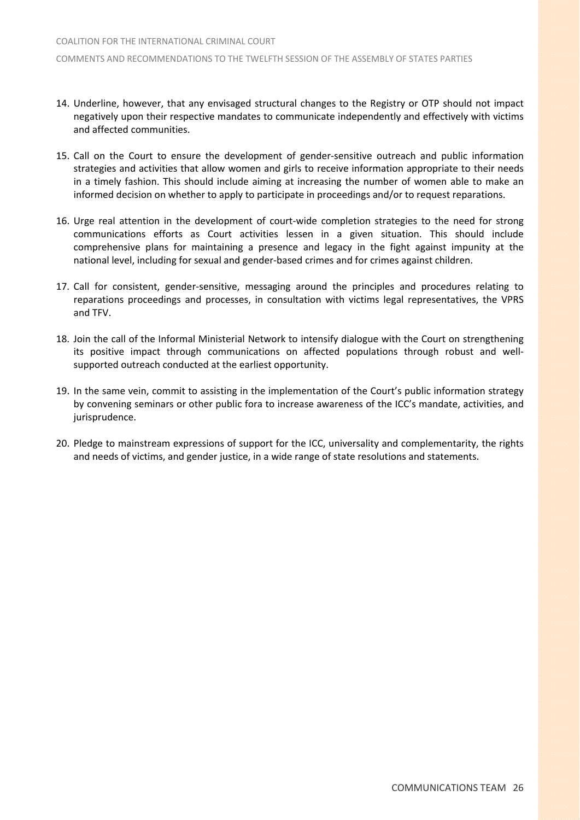- 14. Underline, however, that any envisaged structural changes to the Registry or OTP should not impact negatively upon their respective mandates to communicate independently and effectively with victims and affected communities.
- 15. Call on the Court to ensure the development of gender‐sensitive outreach and public information strategies and activities that allow women and girls to receive information appropriate to their needs in a timely fashion. This should include aiming at increasing the number of women able to make an informed decision on whether to apply to participate in proceedings and/or to request reparations.
- 16. Urge real attention in the development of court-wide completion strategies to the need for strong communications efforts as Court activities lessen in a given situation. This should include comprehensive plans for maintaining a presence and legacy in the fight against impunity at the national level, including for sexual and gender‐based crimes and for crimes against children.
- 17. Call for consistent, gender‐sensitive, messaging around the principles and procedures relating to reparations proceedings and processes, in consultation with victims legal representatives, the VPRS and TFV.
- 18. Join the call of the Informal Ministerial Network to intensify dialogue with the Court on strengthening its positive impact through communications on affected populations through robust and wellsupported outreach conducted at the earliest opportunity.
- 19. In the same vein, commit to assisting in the implementation of the Court's public information strategy by convening seminars or other public fora to increase awareness of the ICC's mandate, activities, and jurisprudence.
- 20. Pledge to mainstream expressions of support for the ICC, universality and complementarity, the rights and needs of victims, and gender justice, in a wide range of state resolutions and statements.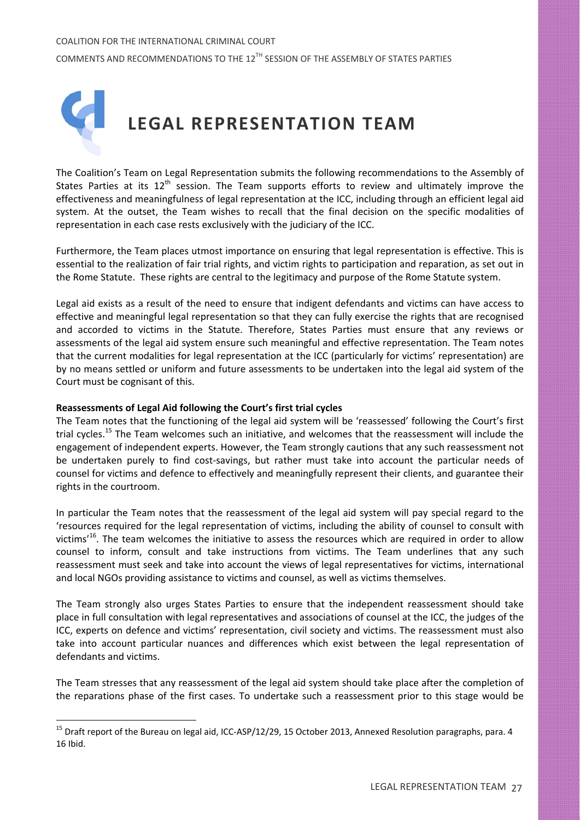

The Coalition's Team on Legal Representation submits the following recommendations to the Assembly of States Parties at its  $12<sup>th</sup>$  session. The Team supports efforts to review and ultimately improve the effectiveness and meaningfulness of legal representation at the ICC, including through an efficient legal aid system. At the outset, the Team wishes to recall that the final decision on the specific modalities of representation in each case rests exclusively with the judiciary of the ICC.

Furthermore, the Team places utmost importance on ensuring that legal representation is effective. This is essential to the realization of fair trial rights, and victim rights to participation and reparation, as set out in the Rome Statute. These rights are central to the legitimacy and purpose of the Rome Statute system.

Legal aid exists as a result of the need to ensure that indigent defendants and victims can have access to effective and meaningful legal representation so that they can fully exercise the rights that are recognised and accorded to victims in the Statute. Therefore, States Parties must ensure that any reviews or assessments of the legal aid system ensure such meaningful and effective representation. The Team notes that the current modalities for legal representation at the ICC (particularly for victims' representation) are by no means settled or uniform and future assessments to be undertaken into the legal aid system of the Court must be cognisant of this.

## **Reassessments of Legal Aid following the Court's first trial cycles**

 $\overline{a}$ 

The Team notes that the functioning of the legal aid system will be 'reassessed' following the Court's first trial cycles.<sup>15</sup> The Team welcomes such an initiative, and welcomes that the reassessment will include the engagement of independent experts. However, the Team strongly cautions that any such reassessment not be undertaken purely to find cost-savings, but rather must take into account the particular needs of counsel for victims and defence to effectively and meaningfully represent their clients, and guarantee their rights in the courtroom.

In particular the Team notes that the reassessment of the legal aid system will pay special regard to the 'resources required for the legal representation of victims, including the ability of counsel to consult with victims<sup>16</sup>. The team welcomes the initiative to assess the resources which are required in order to allow counsel to inform, consult and take instructions from victims. The Team underlines that any such reassessment must seek and take into account the views of legal representatives for victims, international and local NGOs providing assistance to victims and counsel, as well as victims themselves.

The Team strongly also urges States Parties to ensure that the independent reassessment should take place in full consultation with legal representatives and associations of counsel at the ICC, the judges of the ICC, experts on defence and victims' representation, civil society and victims. The reassessment must also take into account particular nuances and differences which exist between the legal representation of defendants and victims.

The Team stresses that any reassessment of the legal aid system should take place after the completion of the reparations phase of the first cases. To undertake such a reassessment prior to this stage would be

<sup>&</sup>lt;sup>15</sup> Draft report of the Bureau on legal aid, ICC-ASP/12/29, 15 October 2013, Annexed Resolution paragraphs, para. 4 16 Ibid.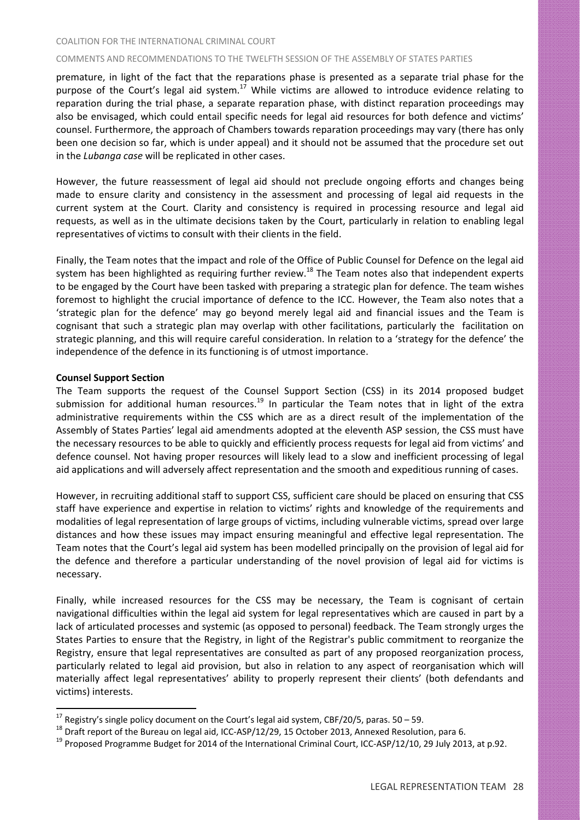#### COMMENTS AND RECOMMENDATIONS TO THE TWELFTH SESSION OF THE ASSEMBLY OF STATES PARTIES

premature, in light of the fact that the reparations phase is presented as a separate trial phase for the purpose of the Court's legal aid system.<sup>17</sup> While victims are allowed to introduce evidence relating to reparation during the trial phase, a separate reparation phase, with distinct reparation proceedings may also be envisaged, which could entail specific needs for legal aid resources for both defence and victims' counsel. Furthermore, the approach of Chambers towards reparation proceedings may vary (there has only been one decision so far, which is under appeal) and it should not be assumed that the procedure set out in the *Lubanga case* will be replicated in other cases.

However, the future reassessment of legal aid should not preclude ongoing efforts and changes being made to ensure clarity and consistency in the assessment and processing of legal aid requests in the current system at the Court. Clarity and consistency is required in processing resource and legal aid requests, as well as in the ultimate decisions taken by the Court, particularly in relation to enabling legal representatives of victims to consult with their clients in the field.

Finally, the Team notes that the impact and role of the Office of Public Counsel for Defence on the legal aid system has been highlighted as requiring further review.<sup>18</sup> The Team notes also that independent experts to be engaged by the Court have been tasked with preparing a strategic plan for defence. The team wishes foremost to highlight the crucial importance of defence to the ICC. However, the Team also notes that a 'strategic plan for the defence' may go beyond merely legal aid and financial issues and the Team is cognisant that such a strategic plan may overlap with other facilitations, particularly the facilitation on strategic planning, and this will require careful consideration. In relation to a 'strategy for the defence' the independence of the defence in its functioning is of utmost importance.

## **Counsel Support Section**

 $\overline{a}$ 

The Team supports the request of the Counsel Support Section (CSS) in its 2014 proposed budget submission for additional human resources.<sup>19</sup> In particular the Team notes that in light of the extra administrative requirements within the CSS which are as a direct result of the implementation of the Assembly of States Parties' legal aid amendments adopted at the eleventh ASP session, the CSS must have the necessary resources to be able to quickly and efficiently process requests for legal aid from victims' and defence counsel. Not having proper resources will likely lead to a slow and inefficient processing of legal aid applications and will adversely affect representation and the smooth and expeditious running of cases.

However, in recruiting additional staff to support CSS, sufficient care should be placed on ensuring that CSS staff have experience and expertise in relation to victims' rights and knowledge of the requirements and modalities of legal representation of large groups of victims, including vulnerable victims, spread over large distances and how these issues may impact ensuring meaningful and effective legal representation. The Team notes that the Court's legal aid system has been modelled principally on the provision of legal aid for the defence and therefore a particular understanding of the novel provision of legal aid for victims is necessary.

Finally, while increased resources for the CSS may be necessary, the Team is cognisant of certain navigational difficulties within the legal aid system for legal representatives which are caused in part by a lack of articulated processes and systemic (as opposed to personal) feedback. The Team strongly urges the States Parties to ensure that the Registry, in light of the Registrar's public commitment to reorganize the Registry, ensure that legal representatives are consulted as part of any proposed reorganization process, particularly related to legal aid provision, but also in relation to any aspect of reorganisation which will materially affect legal representatives' ability to properly represent their clients' (both defendants and victims) interests.

<sup>&</sup>lt;sup>17</sup> Registry's single policy document on the Court's legal aid system, CBF/20/5, paras. 50 – 59.<br><sup>18</sup> Draft report of the Bureau on legal aid, ICC-ASP/12/29, 15 October 2013, Annexed Resolution, para 6.<br><sup>19</sup> Proposed Pro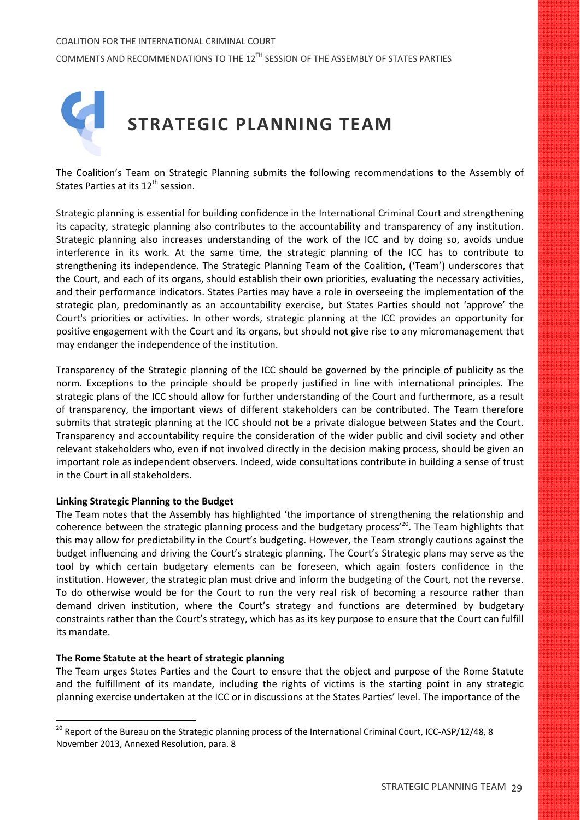

The Coalition's Team on Strategic Planning submits the following recommendations to the Assembly of States Parties at its 12<sup>th</sup> session.

Strategic planning is essential for building confidence in the International Criminal Court and strengthening its capacity, strategic planning also contributes to the accountability and transparency of any institution. Strategic planning also increases understanding of the work of the ICC and by doing so, avoids undue interference in its work. At the same time, the strategic planning of the ICC has to contribute to strengthening its independence. The Strategic Planning Team of the Coalition, ('Team') underscores that the Court, and each of its organs, should establish their own priorities, evaluating the necessary activities, and their performance indicators. States Parties may have a role in overseeing the implementation of the strategic plan, predominantly as an accountability exercise, but States Parties should not 'approve' the Court's priorities or activities. In other words, strategic planning at the ICC provides an opportunity for positive engagement with the Court and its organs, but should not give rise to any micromanagement that may endanger the independence of the institution.

Transparency of the Strategic planning of the ICC should be governed by the principle of publicity as the norm. Exceptions to the principle should be properly justified in line with international principles. The strategic plans of the ICC should allow for further understanding of the Court and furthermore, as a result of transparency, the important views of different stakeholders can be contributed. The Team therefore submits that strategic planning at the ICC should not be a private dialogue between States and the Court. Transparency and accountability require the consideration of the wider public and civil society and other relevant stakeholders who, even if not involved directly in the decision making process, should be given an important role as independent observers. Indeed, wide consultations contribute in building a sense of trust in the Court in all stakeholders.

## **Linking Strategic Planning to the Budget**

The Team notes that the Assembly has highlighted 'the importance of strengthening the relationship and coherence between the strategic planning process and the budgetary process<sup>'20</sup>. The Team highlights that this may allow for predictability in the Court's budgeting. However, the Team strongly cautions against the budget influencing and driving the Court's strategic planning. The Court's Strategic plans may serve as the tool by which certain budgetary elements can be foreseen, which again fosters confidence in the institution. However, the strategic plan must drive and inform the budgeting of the Court, not the reverse. To do otherwise would be for the Court to run the very real risk of becoming a resource rather than demand driven institution, where the Court's strategy and functions are determined by budgetary constraints rather than the Court's strategy, which has as its key purpose to ensure that the Court can fulfill its mandate.

## **The Rome Statute at the heart of strategic planning**

 $\overline{a}$ 

The Team urges States Parties and the Court to ensure that the object and purpose of the Rome Statute and the fulfillment of its mandate, including the rights of victims is the starting point in any strategic planning exercise undertaken at the ICC or in discussions at the States Parties' level. The importance of the

<sup>&</sup>lt;sup>20</sup> Report of the Bureau on the Strategic planning process of the International Criminal Court, ICC-ASP/12/48, 8 November 2013, Annexed Resolution, para. 8